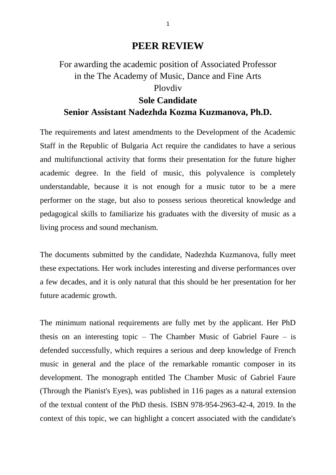## **PEER REVIEW**

## For awarding the academic position of Associated Professor in the The Academy of Music, Dance and Fine Arts Plovdiv **Sole Candidate Senior Assistant Nadezhda Kozma Kuzmanova, Ph.D.**

The requirements and latest amendments to the Development of the Academic Staff in the Republic of Bulgaria Act require the candidates to have a serious and multifunctional activity that forms their presentation for the future higher academic degree. In the field of music, this polyvalence is completely understandable, because it is not enough for a music tutor to be a mere performer on the stage, but also to possess serious theoretical knowledge and pedagogical skills to familiarize his graduates with the diversity of music as a living process and sound mechanism.

The documents submitted by the candidate, Nadezhda Kuzmanova, fully meet these expectations. Her work includes interesting and diverse performances over a few decades, and it is only natural that this should be her presentation for her future academic growth.

The minimum national requirements are fully met by the applicant. Her PhD thesis on an interesting topic – The Chamber Music of Gabriel Faure – is defended successfully, which requires a serious and deep knowledge of French music in general and the place of the remarkable romantic composer in its development. The monograph entitled The Chamber Music of Gabriel Faure (Through the Pianist's Eyes), was published in 116 pages as a natural extension of the textual content of the PhD thesis. ISBN 978-954-2963-42-4, 2019. In the context of this topic, we can highlight a concert associated with the candidate's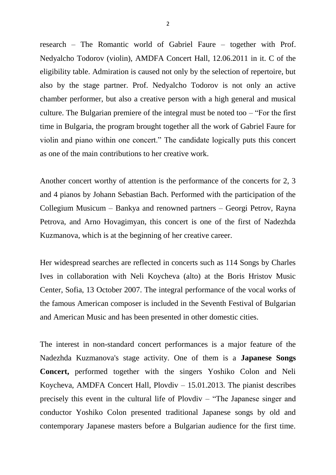research – The Romantic world of Gabriel Faure – together with Prof. Nedyalcho Todorov (violin), AMDFA Concert Hall, 12.06.2011 in it. C of the eligibility table. Admiration is caused not only by the selection of repertoire, but also by the stage partner. Prof. Nedyalcho Todorov is not only an active chamber performer, but also a creative person with a high general and musical culture. The Bulgarian premiere of the integral must be noted too – "For the first time in Bulgaria, the program brought together all the work of Gabriel Faure for violin and piano within one concert." The candidate logically puts this concert as one of the main contributions to her creative work.

Another concert worthy of attention is the performance of the concerts for 2, 3 and 4 pianos by Johann Sebastian Bach. Performed with the participation of the Collegium Musicum – Bankya and renowned partners – Georgi Petrov, Rayna Petrova, and Arno Hovagimyan, this concert is one of the first of Nadezhda Kuzmanova, which is at the beginning of her creative career.

Her widespread searches are reflected in concerts such as 114 Songs by Charles Ives in collaboration with Neli Koycheva (alto) at the Boris Hristov Music Center, Sofia, 13 October 2007. The integral performance of the vocal works of the famous American composer is included in the Seventh Festival of Bulgarian and American Music and has been presented in other domestic cities.

The interest in non-standard concert performances is a major feature of the Nadezhda Kuzmanova's stage activity. One of them is a **Japanese Songs Concert,** performed together with the singers Yoshiko Colon and Neli Koycheva, AMDFA Concert Hall, Plovdiv – 15.01.2013. The pianist describes precisely this event in the cultural life of Plovdiv – "The Japanese singer and conductor Yoshiko Colon presented traditional Japanese songs by old and contemporary Japanese masters before a Bulgarian audience for the first time.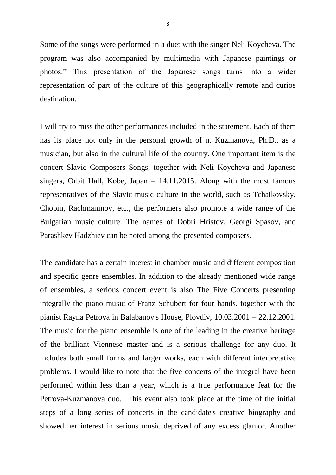Some of the songs were performed in a duet with the singer Neli Koycheva. The program was also accompanied by multimedia with Japanese paintings or photos." This presentation of the Japanese songs turns into a wider representation of part of the culture of this geographically remote and curios destination.

I will try to miss the other performances included in the statement. Each of them has its place not only in the personal growth of n. Kuzmanova, Ph.D., as a musician, but also in the cultural life of the country. One important item is the concert Slavic Composers Songs, together with Neli Koycheva and Japanese singers, Orbit Hall, Kobe, Japan – 14.11.2015. Along with the most famous representatives of the Slavic music culture in the world, such as Tchaikovsky, Chopin, Rachmaninov, etc., the performers also promote a wide range of the Bulgarian music culture. The names of Dobri Hristov, Georgi Spasov, and Parashkev Hadzhiev can be noted among the presented composers.

The candidate has a certain interest in chamber music and different composition and specific genre ensembles. In addition to the already mentioned wide range of ensembles, a serious concert event is also The Five Concerts presenting integrally the piano music of Franz Schubert for four hands, together with the pianist Rayna Petrova in Balabanov's House, Plovdiv, 10.03.2001 – 22.12.2001. The music for the piano ensemble is one of the leading in the creative heritage of the brilliant Viennese master and is a serious challenge for any duo. It includes both small forms and larger works, each with different interpretative problems. I would like to note that the five concerts of the integral have been performed within less than a year, which is a true performance feat for the Petrova-Kuzmanova duo. This event also took place at the time of the initial steps of a long series of concerts in the candidate's creative biography and showed her interest in serious music deprived of any excess glamor. Another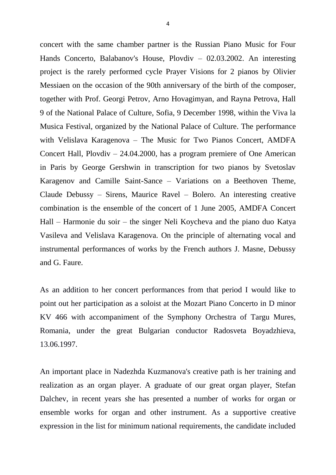concert with the same chamber partner is the Russian Piano Music for Four Hands Concerto, Balabanov's House, Plovdiv – 02.03.2002. An interesting project is the rarely performed cycle Prayer Visions for 2 pianos by Olivier Messiaen on the occasion of the 90th anniversary of the birth of the composer, together with Prof. Georgi Petrov, Arno Hovagimyan, and Rayna Petrova, Hall 9 of the National Palace of Culture, Sofia, 9 December 1998, within the Viva la Musica Festival, organized by the National Palace of Culture. The performance with Velislava Karagenova – The Music for Two Pianos Concert, AMDFA Concert Hall, Plovdiv – 24.04.2000, has a program premiere of One American in Paris by George Gershwin in transcription for two pianos by Svetoslav Karagenov and Camille Saint-Sance – Variations on a Beethoven Theme, Claude Debussy – Sirens, Maurice Ravel – Bolero. An interesting creative combination is the ensemble of the concert of 1 June 2005, AMDFA Concert Hall – Harmonie du soir – the singer Neli Koycheva and the piano duo Katya Vasileva and Velislava Karagenova. On the principle of alternating vocal and instrumental performances of works by the French authors J. Masne, Debussy and G. Faure.

As an addition to her concert performances from that period I would like to point out her participation as a soloist at the Mozart Piano Concerto in D minor KV 466 with accompaniment of the Symphony Orchestra of Targu Mures, Romania, under the great Bulgarian conductor Radosveta Boyadzhieva, 13.06.1997.

An important place in Nadezhda Kuzmanova's creative path is her training and realization as an organ player. A graduate of our great organ player, Stefan Dalchev, in recent years she has presented a number of works for organ or ensemble works for organ and other instrument. As a supportive creative expression in the list for minimum national requirements, the candidate included

4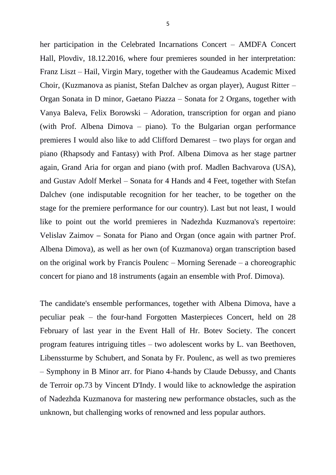her participation in the Celebrated Incarnations Concert – AMDFA Concert Hall, Plovdiv, 18.12.2016, where four premieres sounded in her interpretation: Franz Liszt – Hail, Virgin Mary, together with the Gaudeamus Academic Mixed Choir, (Kuzmanova as pianist, Stefan Dalchev as organ player), August Ritter – Organ Sonata in D minor, Gaetano Piazza – Sonata for 2 Organs, together with Vanya Baleva, Felix Borowski – Adoration, transcription for organ and piano (with Prof. Albena Dimova – piano). To the Bulgarian organ performance premieres I would also like to add Clifford Demarest – two plays for organ and piano (Rhapsody and Fantasy) with Prof. Albena Dimova as her stage partner again, Grand Aria for organ and piano (with prof. Madlen Bachvarova (USA), and Gustav Adolf Merkel – Sonata for 4 Hands and 4 Feet, together with Stefan Dalchev (one indisputable recognition for her teacher, to be together on the stage for the premiere performance for our country). Last but not least, I would like to point out the world premieres in Nadezhda Kuzmanova's repertoire: Velislav Zaimov **–** Sonata for Piano and Organ (once again with partner Prof. Albena Dimova), as well as her own (of Kuzmanova) organ transcription based on the original work by Francis Poulenc – Morning Serenade – a choreographic concert for piano and 18 instruments (again an ensemble with Prof. Dimova).

The candidate's ensemble performances, together with Albena Dimova, have a peculiar peak – the four-hand Forgotten Masterpieces Concert, held on 28 February of last year in the Event Hall of Hr. Botev Society. The concert program features intriguing titles – two adolescent works by L. van Beethoven, Libenssturme by Schubert, and Sonata by Fr. Poulenc, as well as two premieres – Symphony in B Minor arr. for Piano 4-hands by Claude Debussy, and Chants de Terroir op.73 by Vincent D'Indy. I would like to acknowledge the aspiration of Nadezhda Kuzmanova for mastering new performance obstacles, such as the unknown, but challenging works of renowned and less popular authors.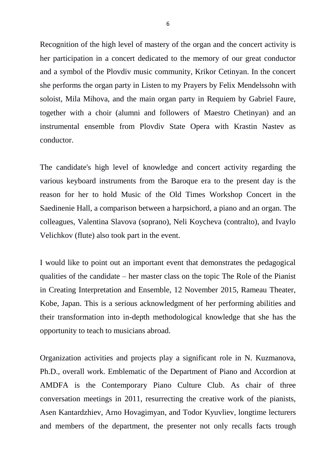Recognition of the high level of mastery of the organ and the concert activity is her participation in a concert dedicated to the memory of our great conductor and a symbol of the Plovdiv music community, Krikor Cetinyan. In the concert she performs the organ party in Listen to my Prayers by Felix Mendelssohn with soloist, Mila Mihova, and the main organ party in Requiem by Gabriel Faure, together with a choir (alumni and followers of Maestro Chetinyan) and an instrumental ensemble from Plovdiv State Opera with Krastin Nastev as conductor.

The candidate's high level of knowledge and concert activity regarding the various keyboard instruments from the Baroque era to the present day is the reason for her to hold Music of the Old Times Workshop Concert in the Saedinenie Hall, a comparison between a harpsichord, a piano and an organ. The colleagues, Valentina Slavova (soprano), Neli Koycheva (contralto), and Ivaylo Velichkov (flute) also took part in the event.

I would like to point out an important event that demonstrates the pedagogical qualities of the candidate – her master class on the topic The Role of the Pianist in Creating Interpretation and Ensemble, 12 November 2015, Rameau Theater, Kobe, Japan. This is a serious acknowledgment of her performing abilities and their transformation into in-depth methodological knowledge that she has the opportunity to teach to musicians abroad.

Organization activities and projects play a significant role in N. Kuzmanova, Ph.D., overall work. Emblematic of the Department of Piano and Accordion at AMDFA is the Contemporary Piano Culture Club. As chair of three conversation meetings in 2011, resurrecting the creative work of the pianists, Asen Kantardzhiev, Arno Hovagimyan, and Todor Kyuvliev, longtime lecturers and members of the department, the presenter not only recalls facts trough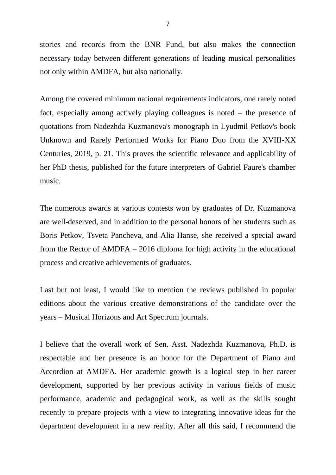stories and records from the BNR Fund, but also makes the connection necessary today between different generations of leading musical personalities not only within AMDFA, but also nationally.

Among the covered minimum national requirements indicators, one rarely noted fact, especially among actively playing colleagues is noted – the presence of quotations from Nadezhda Kuzmanova's monograph in Lyudmil Petkov's book Unknown and Rarely Performed Works for Piano Duo from the XVIII-XX Centuries, 2019, p. 21. This proves the scientific relevance and applicability of her PhD thesis, published for the future interpreters of Gabriel Faure's chamber music.

The numerous awards at various contests won by graduates of Dr. Kuzmanova are well-deserved, and in addition to the personal honors of her students such as Boris Petkov, Tsveta Pancheva, and Alia Hanse, she received a special award from the Rector of AMDFA – 2016 diploma for high activity in the educational process and creative achievements of graduates.

Last but not least, I would like to mention the reviews published in popular editions about the various creative demonstrations of the candidate over the years – Musical Horizons and Art Spectrum journals.

I believe that the overall work of Sen. Asst. Nadezhda Kuzmanova, Ph.D. is respectable and her presence is an honor for the Department of Piano and Accordion at AMDFA. Her academic growth is a logical step in her career development, supported by her previous activity in various fields of music performance, academic and pedagogical work, as well as the skills sought recently to prepare projects with a view to integrating innovative ideas for the department development in a new reality. After all this said, I recommend the